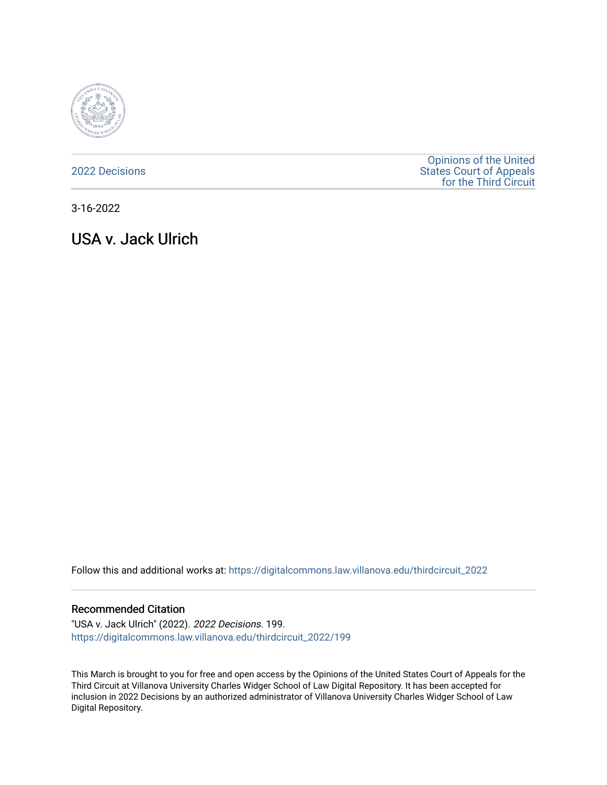

[2022 Decisions](https://digitalcommons.law.villanova.edu/thirdcircuit_2022)

[Opinions of the United](https://digitalcommons.law.villanova.edu/thirdcircuit)  [States Court of Appeals](https://digitalcommons.law.villanova.edu/thirdcircuit)  [for the Third Circuit](https://digitalcommons.law.villanova.edu/thirdcircuit) 

3-16-2022

# USA v. Jack Ulrich

Follow this and additional works at: [https://digitalcommons.law.villanova.edu/thirdcircuit\\_2022](https://digitalcommons.law.villanova.edu/thirdcircuit_2022?utm_source=digitalcommons.law.villanova.edu%2Fthirdcircuit_2022%2F199&utm_medium=PDF&utm_campaign=PDFCoverPages) 

#### Recommended Citation

"USA v. Jack Ulrich" (2022). 2022 Decisions. 199. [https://digitalcommons.law.villanova.edu/thirdcircuit\\_2022/199](https://digitalcommons.law.villanova.edu/thirdcircuit_2022/199?utm_source=digitalcommons.law.villanova.edu%2Fthirdcircuit_2022%2F199&utm_medium=PDF&utm_campaign=PDFCoverPages)

This March is brought to you for free and open access by the Opinions of the United States Court of Appeals for the Third Circuit at Villanova University Charles Widger School of Law Digital Repository. It has been accepted for inclusion in 2022 Decisions by an authorized administrator of Villanova University Charles Widger School of Law Digital Repository.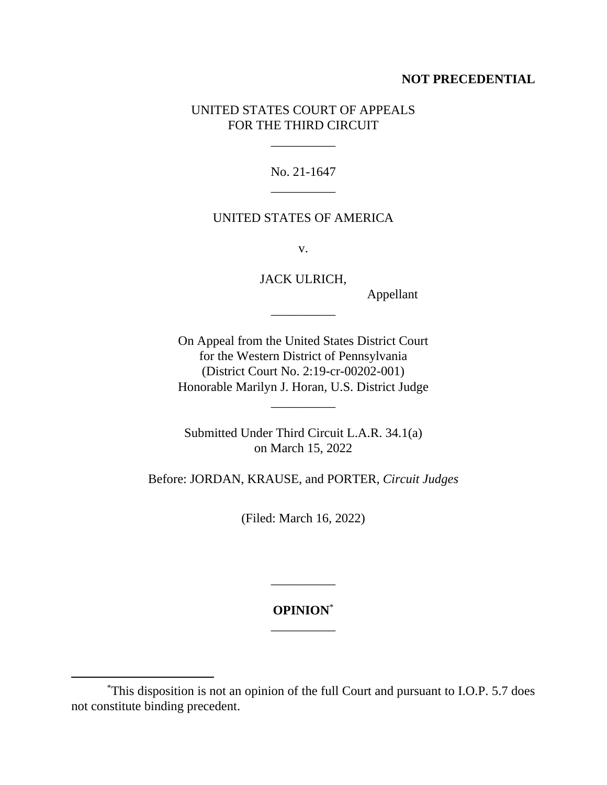## **NOT PRECEDENTIAL**

# UNITED STATES COURT OF APPEALS FOR THE THIRD CIRCUIT

\_\_\_\_\_\_\_\_\_\_

No. 21-1647 \_\_\_\_\_\_\_\_\_\_

### UNITED STATES OF AMERICA

v.

JACK ULRICH,

\_\_\_\_\_\_\_\_\_\_

Appellant

On Appeal from the United States District Court for the Western District of Pennsylvania (District Court No. 2:19-cr-00202-001) Honorable Marilyn J. Horan, U.S. District Judge

\_\_\_\_\_\_\_\_\_\_

Submitted Under Third Circuit L.A.R. 34.1(a) on March 15, 2022

Before: JORDAN, KRAUSE, and PORTER, *Circuit Judges*

(Filed: March 16, 2022)

**OPINION**\* \_\_\_\_\_\_\_\_\_\_

\_\_\_\_\_\_\_\_\_\_

<sup>\*</sup>This disposition is not an opinion of the full Court and pursuant to I.O.P. 5.7 does not constitute binding precedent.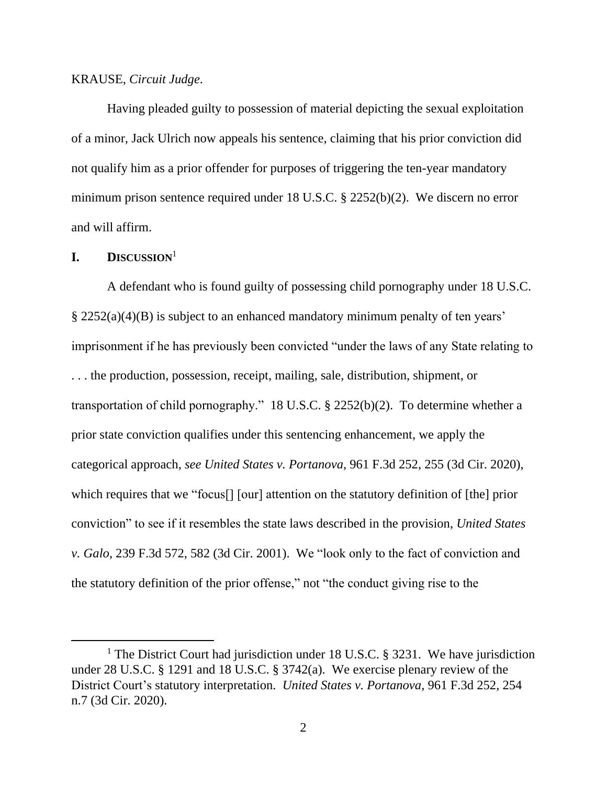#### KRAUSE, *Circuit Judge*.

Having pleaded guilty to possession of material depicting the sexual exploitation of a minor, Jack Ulrich now appeals his sentence, claiming that his prior conviction did not qualify him as a prior offender for purposes of triggering the ten-year mandatory minimum prison sentence required under 18 U.S.C. § 2252(b)(2). We discern no error and will affirm.

### **I. DISCUSSION**<sup>1</sup>

A defendant who is found guilty of possessing child pornography under 18 U.S.C. § 2252(a)(4)(B) is subject to an enhanced mandatory minimum penalty of ten years' imprisonment if he has previously been convicted "under the laws of any State relating to . . . the production, possession, receipt, mailing, sale, distribution, shipment, or transportation of child pornography." 18 U.S.C. § 2252(b)(2). To determine whether a prior state conviction qualifies under this sentencing enhancement, we apply the categorical approach, *see United States v. Portanova*, 961 F.3d 252, 255 (3d Cir. 2020), which requires that we "focus<sup>[]</sup> [our] attention on the statutory definition of [the] prior conviction" to see if it resembles the state laws described in the provision, *United States v. Galo*, 239 F.3d 572, 582 (3d Cir. 2001). We "look only to the fact of conviction and the statutory definition of the prior offense," not "the conduct giving rise to the

<sup>&</sup>lt;sup>1</sup> The District Court had jurisdiction under 18 U.S.C. § 3231. We have jurisdiction under 28 U.S.C. § 1291 and 18 U.S.C. § 3742(a). We exercise plenary review of the District Court's statutory interpretation. *United States v. Portanova*, 961 F.3d 252, 254 n.7 (3d Cir. 2020).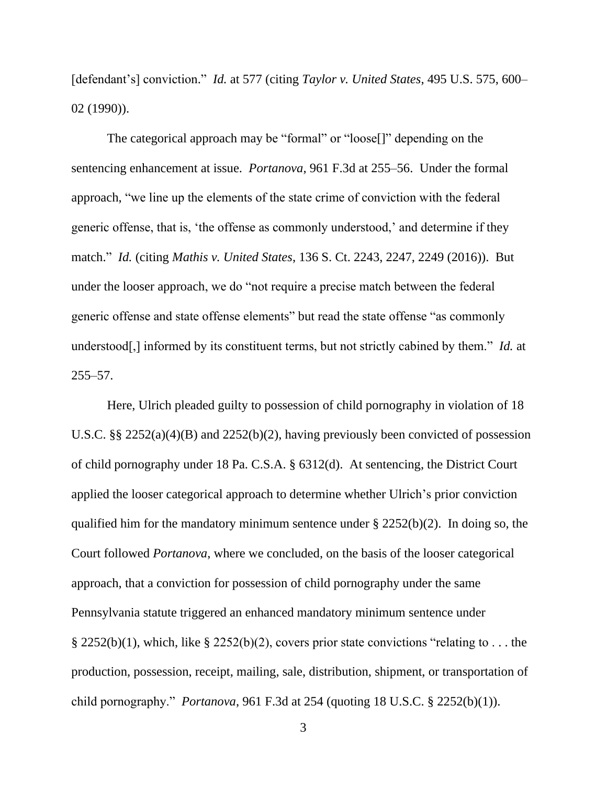[defendant's] conviction." *Id.* at 577 (citing *Taylor v. United States*, 495 U.S. 575, 600– 02 (1990)).

The categorical approach may be "formal" or "loose[]" depending on the sentencing enhancement at issue. *Portanova*, 961 F.3d at 255–56. Under the formal approach, "we line up the elements of the state crime of conviction with the federal generic offense, that is, 'the offense as commonly understood,' and determine if they match." *Id.* (citing *Mathis v. United States*, 136 S. Ct. 2243, 2247, 2249 (2016)). But under the looser approach, we do "not require a precise match between the federal generic offense and state offense elements" but read the state offense "as commonly understood[,] informed by its constituent terms, but not strictly cabined by them." *Id.* at 255–57.

Here, Ulrich pleaded guilty to possession of child pornography in violation of 18 U.S.C. §§ 2252(a)(4)(B) and 2252(b)(2), having previously been convicted of possession of child pornography under 18 Pa. C.S.A. § 6312(d). At sentencing, the District Court applied the looser categorical approach to determine whether Ulrich's prior conviction qualified him for the mandatory minimum sentence under § 2252(b)(2). In doing so, the Court followed *Portanova*, where we concluded, on the basis of the looser categorical approach, that a conviction for possession of child pornography under the same Pennsylvania statute triggered an enhanced mandatory minimum sentence under § 2252(b)(1), which, like § 2252(b)(2), covers prior state convictions "relating to ... the production, possession, receipt, mailing, sale, distribution, shipment, or transportation of child pornography." *Portanova*, 961 F.3d at 254 (quoting 18 U.S.C. § 2252(b)(1)).

3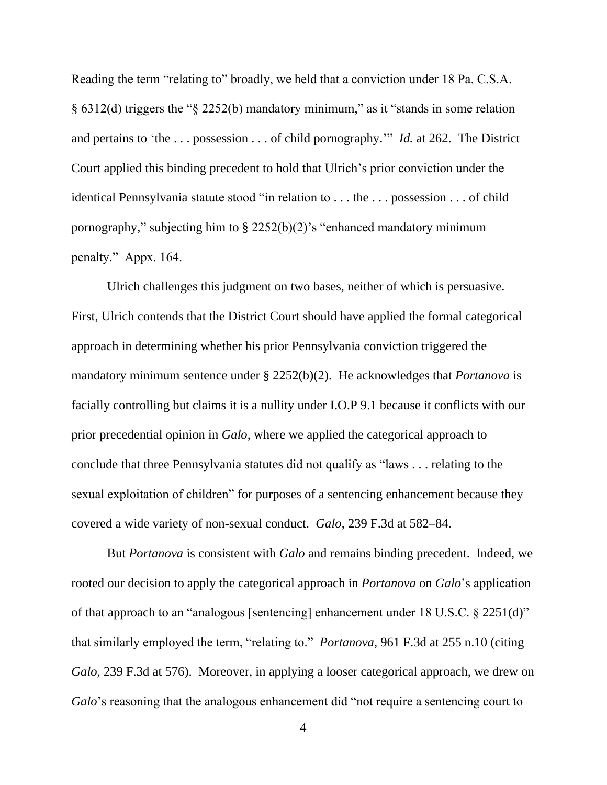Reading the term "relating to" broadly, we held that a conviction under 18 Pa. C.S.A. § 6312(d) triggers the "§ 2252(b) mandatory minimum," as it "stands in some relation and pertains to 'the . . . possession . . . of child pornography.'" *Id.* at 262. The District Court applied this binding precedent to hold that Ulrich's prior conviction under the identical Pennsylvania statute stood "in relation to . . . the . . . possession . . . of child pornography," subjecting him to  $\S$  2252(b)(2)'s "enhanced mandatory minimum penalty." Appx. 164.

Ulrich challenges this judgment on two bases, neither of which is persuasive. First, Ulrich contends that the District Court should have applied the formal categorical approach in determining whether his prior Pennsylvania conviction triggered the mandatory minimum sentence under § 2252(b)(2). He acknowledges that *Portanova* is facially controlling but claims it is a nullity under I.O.P 9.1 because it conflicts with our prior precedential opinion in *Galo*, where we applied the categorical approach to conclude that three Pennsylvania statutes did not qualify as "laws . . . relating to the sexual exploitation of children" for purposes of a sentencing enhancement because they covered a wide variety of non-sexual conduct. *Galo*, 239 F.3d at 582–84.

But *Portanova* is consistent with *Galo* and remains binding precedent. Indeed, we rooted our decision to apply the categorical approach in *Portanova* on *Galo*'s application of that approach to an "analogous [sentencing] enhancement under 18 U.S.C. § 2251(d)" that similarly employed the term, "relating to." *Portanova*, 961 F.3d at 255 n.10 (citing *Galo*, 239 F.3d at 576). Moreover, in applying a looser categorical approach, we drew on *Galo*'s reasoning that the analogous enhancement did "not require a sentencing court to

4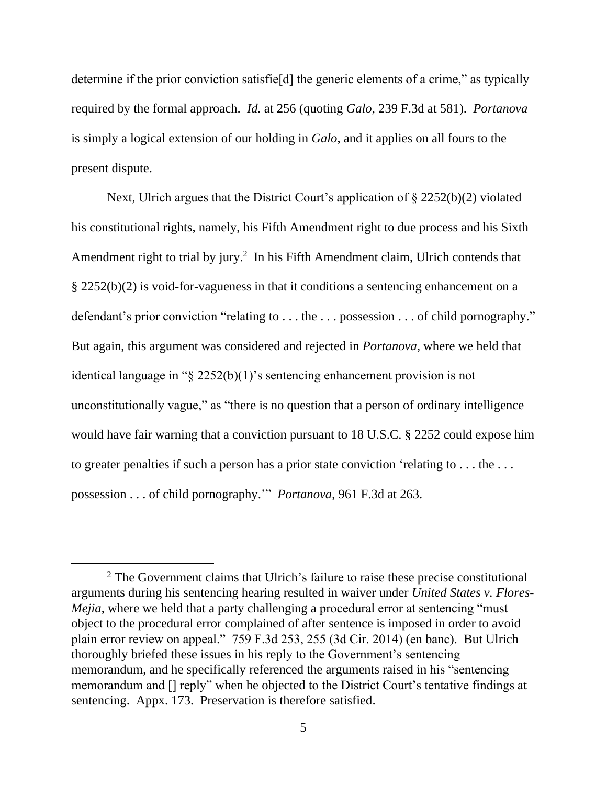determine if the prior conviction satisfie[d] the generic elements of a crime," as typically required by the formal approach. *Id.* at 256 (quoting *Galo*, 239 F.3d at 581). *Portanova*  is simply a logical extension of our holding in *Galo*, and it applies on all fours to the present dispute.

Next, Ulrich argues that the District Court's application of § 2252(b)(2) violated his constitutional rights, namely, his Fifth Amendment right to due process and his Sixth Amendment right to trial by jury. 2 In his Fifth Amendment claim, Ulrich contends that § 2252(b)(2) is void-for-vagueness in that it conditions a sentencing enhancement on a defendant's prior conviction "relating to . . . the . . . possession . . . of child pornography." But again, this argument was considered and rejected in *Portanova*, where we held that identical language in "§ 2252(b)(1)'s sentencing enhancement provision is not unconstitutionally vague," as "there is no question that a person of ordinary intelligence would have fair warning that a conviction pursuant to 18 U.S.C. § 2252 could expose him to greater penalties if such a person has a prior state conviction 'relating to . . . the . . . possession . . . of child pornography.'" *Portanova*, 961 F.3d at 263.

<sup>&</sup>lt;sup>2</sup> The Government claims that Ulrich's failure to raise these precise constitutional arguments during his sentencing hearing resulted in waiver under *United States v. Flores-Mejia*, where we held that a party challenging a procedural error at sentencing "must" object to the procedural error complained of after sentence is imposed in order to avoid plain error review on appeal." 759 F.3d 253, 255 (3d Cir. 2014) (en banc). But Ulrich thoroughly briefed these issues in his reply to the Government's sentencing memorandum, and he specifically referenced the arguments raised in his "sentencing memorandum and [] reply" when he objected to the District Court's tentative findings at sentencing. Appx. 173. Preservation is therefore satisfied.